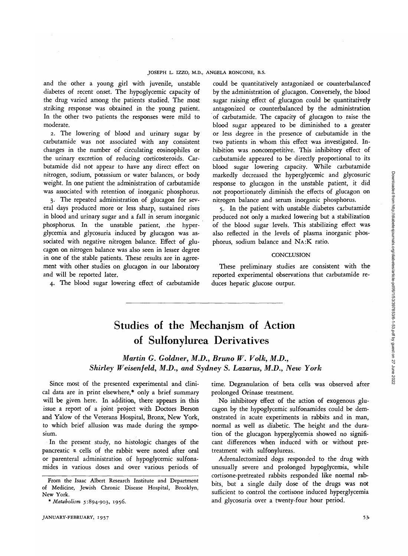and the other a young girl with juvenile, unstable diabetes of recent onset. The hypoglycemic capacity of the drug varied among the patients studied. The most striking response was obtained in the young patient. In the other two patients the responses were mild to moderate.

2. The lowering of blood and urinary sugar by carbutamide was not associated with any consistent changes in the number of circulating eosinophiles or the urinary excretion of reducing corticosteroids. Carbutamide did not appear to have any direct effect on nitrogen, sodium, potassium or water balances, or body weight. In one patient the administration of carbutamide was associated with retention of inorganic phosphorus.

3. The repeated administration of glucagon for several days produced more or less sharp, sustained rises in blood and urinary sugar and a fall in serum inorganic phosphorus. In the unstable patient, the hyperglycemia and glycosuria induced by glucagon was associated with negative nitrogen balance. Effect of glucagon on nitrogen balance was also seen in lesser degree in one of the stable patients. These results are in agreement with other studies on glucagon in our laboratory and will be reported later.

4. The blood sugar lowering effect of carbutamide

could be quantitatively antagonized or counterbalanced by the administration of glucagon. Conversely, the blood sugar raising effect of glucagon could be quantitatively antagonized or counterbalanced by the administration of carbutamide. The capacity of glucagon to raise the blood sugar appeared to be diminished to a greater or less degree in the presence of carbutamide in the two patients in whom this effect was investigated. Inhibition was noncompetitive. This inhibitory effect of carbutamide appeared to be directly proportional to its blood sugar lowering capacity. While carbutamide markedly decreased the hyperglycemic and glycosuric response to glucagon in the unstable patient, it did not proportionately diminish the effects of glucagon on nitrogen balance and serum inorganic phosphorus.

5. In the patient with unstable diabetes carbutamide produced not only a marked lowering but a stabilization of the blood sugar levels. This stabilizing effect was also reflected in the levels of plasma inorganic phosphorus, sodium balance and NA:K ratio.

## **CONCLUSION**

These preliminary studies are consistent with the reported experimental observations that carbutamide reduces hepatic glucose output.

## Studies of the Mechanism of Action of Sulfonylurea Derivatives

*Martin G. Goldner, M.D., Bruno W. Volk, M.D., Shirley Weisenfeld, M.D., and Sydney S. Lazarus, M.D., New York*

Since most of the presented experimental and clinical data are in print elsewhere,\* only a brief summary will be given here. In addition, there appears in this issue a report of a joint project with Doctors Berson and Yalow of the Veterans Hospital, Bronx, New York, to which brief allusion was made during the symposium.

In the present study, no histologic changes of the pancreatic a cells of the rabbit were noted after oral or parenteral administration of hypoglycemic sulfonamides in various doses and over various periods of

time. Degranulation of beta cells was observed after prolonged Orinase treatment.

No inhibitory effect of the action of exogenous glucagon by the hypoglycemic sulfonamides could be demonstrated in acute experiments in rabbits and in man, normal as well as diabetic. The height and the duration of the glucagon hyperglycemia showed no significant differences when induced with or without pretreatment with sulfonylureas.

Adrenalectomized dogs responded to the drug with unusually severe and prolonged hypoglycemia, while cortisone-pretreated rabbits responded like normal rabbits, but a single daily dose of the drugs was not sufficient to control the cortisone induced hyperglycemia and glycosuria over a twenty-four hour period.

From the Isaac Albert Research Institute and Department of Medicine, Jewish Chronic Disease Hospital, Brooklyn, New York.

<sup>\*</sup> *Metabolism* 5:894-903, 1956.